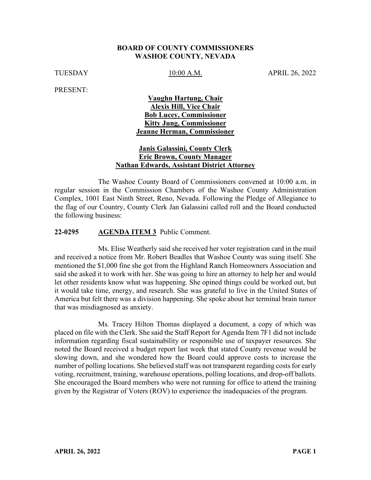#### **BOARD OF COUNTY COMMISSIONERS WASHOE COUNTY, NEVADA**

TUESDAY 10:00 A.M. APRIL 26, 2022

PRESENT:

### **Vaughn Hartung, Chair Alexis Hill, Vice Chair Bob Lucey, Commissioner Kitty Jung, Commissioner Jeanne Herman, Commissioner**

### **Janis Galassini, County Clerk Eric Brown, County Manager Nathan Edwards, Assistant District Attorney**

The Washoe County Board of Commissioners convened at 10:00 a.m. in regular session in the Commission Chambers of the Washoe County Administration Complex, 1001 East Ninth Street, Reno, Nevada. Following the Pledge of Allegiance to the flag of our Country, County Clerk Jan Galassini called roll and the Board conducted the following business:

#### **22-0295 AGENDA ITEM 3** Public Comment.

Ms. Elise Weatherly said she received her voter registration card in the mail and received a notice from Mr. Robert Beadles that Washoe County was suing itself. She mentioned the \$1,000 fine she got from the Highland Ranch Homeowners Association and said she asked it to work with her. She was going to hire an attorney to help her and would let other residents know what was happening. She opined things could be worked out, but it would take time, energy, and research. She was grateful to live in the United States of America but felt there was a division happening. She spoke about her terminal brain tumor that was misdiagnosed as anxiety.

Ms. Tracey Hilton Thomas displayed a document, a copy of which was placed on file with the Clerk. She said the Staff Report for Agenda Item 7F1 did not include information regarding fiscal sustainability or responsible use of taxpayer resources. She noted the Board received a budget report last week that stated County revenue would be slowing down, and she wondered how the Board could approve costs to increase the number of polling locations. She believed staff was not transparent regarding costs for early voting, recruitment, training, warehouse operations, polling locations, and drop-off ballots. She encouraged the Board members who were not running for office to attend the training given by the Registrar of Voters (ROV) to experience the inadequacies of the program.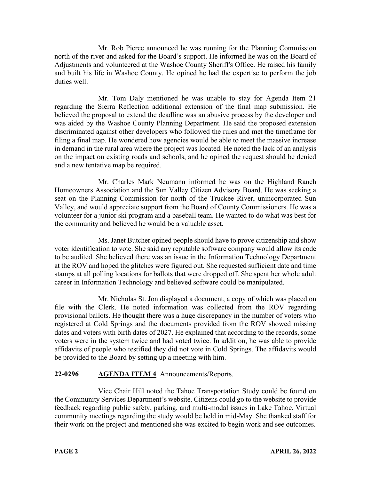Mr. Rob Pierce announced he was running for the Planning Commission north of the river and asked for the Board's support. He informed he was on the Board of Adjustments and volunteered at the Washoe County Sheriff's Office. He raised his family and built his life in Washoe County. He opined he had the expertise to perform the job duties well.

Mr. Tom Daly mentioned he was unable to stay for Agenda Item 21 regarding the Sierra Reflection additional extension of the final map submission. He believed the proposal to extend the deadline was an abusive process by the developer and was aided by the Washoe County Planning Department. He said the proposed extension discriminated against other developers who followed the rules and met the timeframe for filing a final map. He wondered how agencies would be able to meet the massive increase in demand in the rural area where the project was located. He noted the lack of an analysis on the impact on existing roads and schools, and he opined the request should be denied and a new tentative map be required.

Mr. Charles Mark Neumann informed he was on the Highland Ranch Homeowners Association and the Sun Valley Citizen Advisory Board. He was seeking a seat on the Planning Commission for north of the Truckee River, unincorporated Sun Valley, and would appreciate support from the Board of County Commissioners. He was a volunteer for a junior ski program and a baseball team. He wanted to do what was best for the community and believed he would be a valuable asset.

Ms. Janet Butcher opined people should have to prove citizenship and show voter identification to vote. She said any reputable software company would allow its code to be audited. She believed there was an issue in the Information Technology Department at the ROV and hoped the glitches were figured out. She requested sufficient date and time stamps at all polling locations for ballots that were dropped off. She spent her whole adult career in Information Technology and believed software could be manipulated.

Mr. Nicholas St. Jon displayed a document, a copy of which was placed on file with the Clerk. He noted information was collected from the ROV regarding provisional ballots. He thought there was a huge discrepancy in the number of voters who registered at Cold Springs and the documents provided from the ROV showed missing dates and voters with birth dates of 2027. He explained that according to the records, some voters were in the system twice and had voted twice. In addition, he was able to provide affidavits of people who testified they did not vote in Cold Springs. The affidavits would be provided to the Board by setting up a meeting with him.

# **22-0296 AGENDA ITEM 4** Announcements/Reports.

Vice Chair Hill noted the Tahoe Transportation Study could be found on the Community Services Department's website. Citizens could go to the website to provide feedback regarding public safety, parking, and multi-modal issues in Lake Tahoe. Virtual community meetings regarding the study would be held in mid-May. She thanked staff for their work on the project and mentioned she was excited to begin work and see outcomes.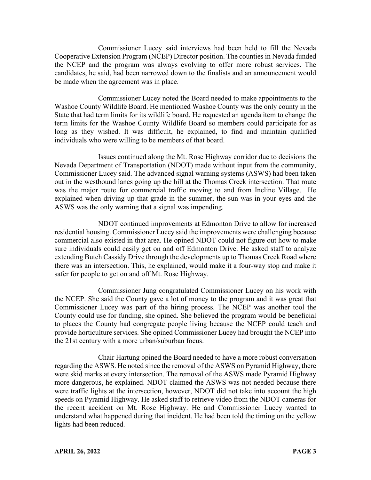Commissioner Lucey said interviews had been held to fill the Nevada Cooperative Extension Program (NCEP) Director position. The counties in Nevada funded the NCEP and the program was always evolving to offer more robust services. The candidates, he said, had been narrowed down to the finalists and an announcement would be made when the agreement was in place.

Commissioner Lucey noted the Board needed to make appointments to the Washoe County Wildlife Board. He mentioned Washoe County was the only county in the State that had term limits for its wildlife board. He requested an agenda item to change the term limits for the Washoe County Wildlife Board so members could participate for as long as they wished. It was difficult, he explained, to find and maintain qualified individuals who were willing to be members of that board.

Issues continued along the Mt. Rose Highway corridor due to decisions the Nevada Department of Transportation (NDOT) made without input from the community, Commissioner Lucey said. The advanced signal warning systems (ASWS) had been taken out in the westbound lanes going up the hill at the Thomas Creek intersection. That route was the major route for commercial traffic moving to and from Incline Village. He explained when driving up that grade in the summer, the sun was in your eyes and the ASWS was the only warning that a signal was impending.

NDOT continued improvements at Edmonton Drive to allow for increased residential housing. Commissioner Lucey said the improvements were challenging because commercial also existed in that area. He opined NDOT could not figure out how to make sure individuals could easily get on and off Edmonton Drive. He asked staff to analyze extending Butch Cassidy Drive through the developments up to Thomas Creek Road where there was an intersection. This, he explained, would make it a four-way stop and make it safer for people to get on and off Mt. Rose Highway.

Commissioner Jung congratulated Commissioner Lucey on his work with the NCEP. She said the County gave a lot of money to the program and it was great that Commissioner Lucey was part of the hiring process. The NCEP was another tool the County could use for funding, she opined. She believed the program would be beneficial to places the County had congregate people living because the NCEP could teach and provide horticulture services. She opined Commissioner Lucey had brought the NCEP into the 21st century with a more urban/suburban focus.

Chair Hartung opined the Board needed to have a more robust conversation regarding the ASWS. He noted since the removal of the ASWS on Pyramid Highway, there were skid marks at every intersection. The removal of the ASWS made Pyramid Highway more dangerous, he explained. NDOT claimed the ASWS was not needed because there were traffic lights at the intersection, however, NDOT did not take into account the high speeds on Pyramid Highway. He asked staff to retrieve video from the NDOT cameras for the recent accident on Mt. Rose Highway. He and Commissioner Lucey wanted to understand what happened during that incident. He had been told the timing on the yellow lights had been reduced.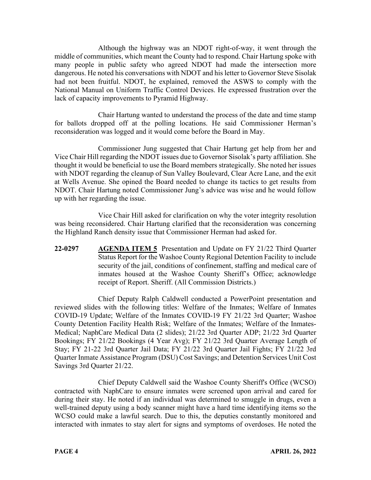Although the highway was an NDOT right-of-way, it went through the middle of communities, which meant the County had to respond. Chair Hartung spoke with many people in public safety who agreed NDOT had made the intersection more dangerous. He noted his conversations with NDOT and his letter to Governor Steve Sisolak had not been fruitful. NDOT, he explained, removed the ASWS to comply with the National Manual on Uniform Traffic Control Devices. He expressed frustration over the lack of capacity improvements to Pyramid Highway.

Chair Hartung wanted to understand the process of the date and time stamp for ballots dropped off at the polling locations. He said Commissioner Herman's reconsideration was logged and it would come before the Board in May.

Commissioner Jung suggested that Chair Hartung get help from her and Vice Chair Hill regarding the NDOT issues due to Governor Sisolak's party affiliation. She thought it would be beneficial to use the Board members strategically. She noted her issues with NDOT regarding the cleanup of Sun Valley Boulevard, Clear Acre Lane, and the exit at Wells Avenue. She opined the Board needed to change its tactics to get results from NDOT. Chair Hartung noted Commissioner Jung's advice was wise and he would follow up with her regarding the issue.

Vice Chair Hill asked for clarification on why the voter integrity resolution was being reconsidered. Chair Hartung clarified that the reconsideration was concerning the Highland Ranch density issue that Commissioner Herman had asked for.

**22-0297 AGENDA ITEM 5** Presentation and Update on FY 21/22 Third Quarter Status Report for the Washoe County Regional Detention Facility to include security of the jail, conditions of confinement, staffing and medical care of inmates housed at the Washoe County Sheriff's Office; acknowledge receipt of Report. Sheriff. (All Commission Districts.)

Chief Deputy Ralph Caldwell conducted a PowerPoint presentation and reviewed slides with the following titles: Welfare of the Inmates; Welfare of Inmates COVID-19 Update; Welfare of the Inmates COVID-19 FY 21/22 3rd Quarter; Washoe County Detention Facility Health Risk; Welfare of the Inmates; Welfare of the Inmates-Medical; NaphCare Medical Data (2 slides); 21/22 3rd Quarter ADP; 21/22 3rd Quarter Bookings; FY 21/22 Bookings (4 Year Avg); FY 21/22 3rd Quarter Average Length of Stay; FY 21-22 3rd Quarter Jail Data; FY 21/22 3rd Quarter Jail Fights; FY 21/22 3rd Quarter Inmate Assistance Program (DSU) Cost Savings; and Detention Services Unit Cost Savings 3rd Quarter 21/22.

Chief Deputy Caldwell said the Washoe County Sheriff's Office (WCSO) contracted with NaphCare to ensure inmates were screened upon arrival and cared for during their stay. He noted if an individual was determined to smuggle in drugs, even a well-trained deputy using a body scanner might have a hard time identifying items so the WCSO could make a lawful search. Due to this, the deputies constantly monitored and interacted with inmates to stay alert for signs and symptoms of overdoses. He noted the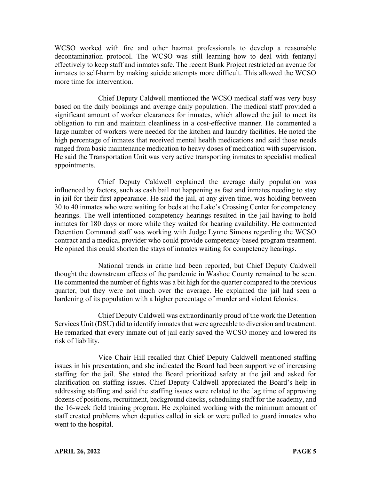WCSO worked with fire and other hazmat professionals to develop a reasonable decontamination protocol. The WCSO was still learning how to deal with fentanyl effectively to keep staff and inmates safe. The recent Bunk Project restricted an avenue for inmates to self-harm by making suicide attempts more difficult. This allowed the WCSO more time for intervention.

Chief Deputy Caldwell mentioned the WCSO medical staff was very busy based on the daily bookings and average daily population. The medical staff provided a significant amount of worker clearances for inmates, which allowed the jail to meet its obligation to run and maintain cleanliness in a cost-effective manner. He commented a large number of workers were needed for the kitchen and laundry facilities. He noted the high percentage of inmates that received mental health medications and said those needs ranged from basic maintenance medication to heavy doses of medication with supervision. He said the Transportation Unit was very active transporting inmates to specialist medical appointments.

Chief Deputy Caldwell explained the average daily population was influenced by factors, such as cash bail not happening as fast and inmates needing to stay in jail for their first appearance. He said the jail, at any given time, was holding between 30 to 40 inmates who were waiting for beds at the Lake's Crossing Center for competency hearings. The well-intentioned competency hearings resulted in the jail having to hold inmates for 180 days or more while they waited for hearing availability. He commented Detention Command staff was working with Judge Lynne Simons regarding the WCSO contract and a medical provider who could provide competency-based program treatment. He opined this could shorten the stays of inmates waiting for competency hearings.

National trends in crime had been reported, but Chief Deputy Caldwell thought the downstream effects of the pandemic in Washoe County remained to be seen. He commented the number of fights was a bit high for the quarter compared to the previous quarter, but they were not much over the average. He explained the jail had seen a hardening of its population with a higher percentage of murder and violent felonies.

Chief Deputy Caldwell was extraordinarily proud of the work the Detention Services Unit (DSU) did to identify inmates that were agreeable to diversion and treatment. He remarked that every inmate out of jail early saved the WCSO money and lowered its risk of liability.

Vice Chair Hill recalled that Chief Deputy Caldwell mentioned staffing issues in his presentation, and she indicated the Board had been supportive of increasing staffing for the jail. She stated the Board prioritized safety at the jail and asked for clarification on staffing issues. Chief Deputy Caldwell appreciated the Board's help in addressing staffing and said the staffing issues were related to the lag time of approving dozens of positions, recruitment, background checks, scheduling staff for the academy, and the 16-week field training program. He explained working with the minimum amount of staff created problems when deputies called in sick or were pulled to guard inmates who went to the hospital.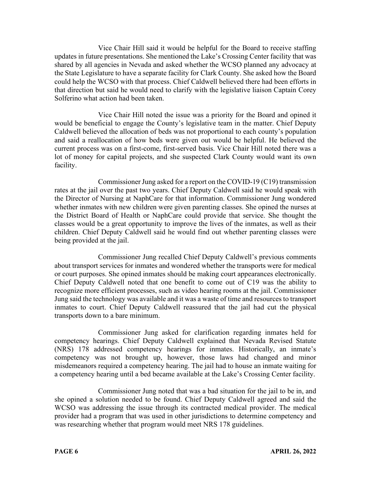Vice Chair Hill said it would be helpful for the Board to receive staffing updates in future presentations. She mentioned the Lake's Crossing Center facility that was shared by all agencies in Nevada and asked whether the WCSO planned any advocacy at the State Legislature to have a separate facility for Clark County. She asked how the Board could help the WCSO with that process. Chief Caldwell believed there had been efforts in that direction but said he would need to clarify with the legislative liaison Captain Corey Solferino what action had been taken.

Vice Chair Hill noted the issue was a priority for the Board and opined it would be beneficial to engage the County's legislative team in the matter. Chief Deputy Caldwell believed the allocation of beds was not proportional to each county's population and said a reallocation of how beds were given out would be helpful. He believed the current process was on a first-come, first-served basis. Vice Chair Hill noted there was a lot of money for capital projects, and she suspected Clark County would want its own facility.

Commissioner Jung asked for a report on the COVID-19 (C19) transmission rates at the jail over the past two years. Chief Deputy Caldwell said he would speak with the Director of Nursing at NaphCare for that information. Commissioner Jung wondered whether inmates with new children were given parenting classes. She opined the nurses at the District Board of Health or NaphCare could provide that service. She thought the classes would be a great opportunity to improve the lives of the inmates, as well as their children. Chief Deputy Caldwell said he would find out whether parenting classes were being provided at the jail.

Commissioner Jung recalled Chief Deputy Caldwell's previous comments about transport services for inmates and wondered whether the transports were for medical or court purposes. She opined inmates should be making court appearances electronically. Chief Deputy Caldwell noted that one benefit to come out of C19 was the ability to recognize more efficient processes, such as video hearing rooms at the jail. Commissioner Jung said the technology was available and it was a waste of time and resources to transport inmates to court. Chief Deputy Caldwell reassured that the jail had cut the physical transports down to a bare minimum.

Commissioner Jung asked for clarification regarding inmates held for competency hearings. Chief Deputy Caldwell explained that Nevada Revised Statute (NRS) 178 addressed competency hearings for inmates. Historically, an inmate's competency was not brought up, however, those laws had changed and minor misdemeanors required a competency hearing. The jail had to house an inmate waiting for a competency hearing until a bed became available at the Lake's Crossing Center facility.

Commissioner Jung noted that was a bad situation for the jail to be in, and she opined a solution needed to be found. Chief Deputy Caldwell agreed and said the WCSO was addressing the issue through its contracted medical provider. The medical provider had a program that was used in other jurisdictions to determine competency and was researching whether that program would meet NRS 178 guidelines.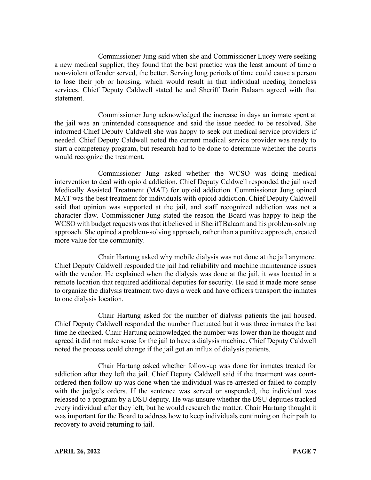Commissioner Jung said when she and Commissioner Lucey were seeking a new medical supplier, they found that the best practice was the least amount of time a non-violent offender served, the better. Serving long periods of time could cause a person to lose their job or housing, which would result in that individual needing homeless services. Chief Deputy Caldwell stated he and Sheriff Darin Balaam agreed with that statement.

Commissioner Jung acknowledged the increase in days an inmate spent at the jail was an unintended consequence and said the issue needed to be resolved. She informed Chief Deputy Caldwell she was happy to seek out medical service providers if needed. Chief Deputy Caldwell noted the current medical service provider was ready to start a competency program, but research had to be done to determine whether the courts would recognize the treatment.

Commissioner Jung asked whether the WCSO was doing medical intervention to deal with opioid addiction. Chief Deputy Caldwell responded the jail used Medically Assisted Treatment (MAT) for opioid addiction. Commissioner Jung opined MAT was the best treatment for individuals with opioid addiction. Chief Deputy Caldwell said that opinion was supported at the jail, and staff recognized addiction was not a character flaw. Commissioner Jung stated the reason the Board was happy to help the WCSO with budget requests was that it believed in Sheriff Balaam and his problem-solving approach. She opined a problem-solving approach, rather than a punitive approach, created more value for the community.

Chair Hartung asked why mobile dialysis was not done at the jail anymore. Chief Deputy Caldwell responded the jail had reliability and machine maintenance issues with the vendor. He explained when the dialysis was done at the jail, it was located in a remote location that required additional deputies for security. He said it made more sense to organize the dialysis treatment two days a week and have officers transport the inmates to one dialysis location.

Chair Hartung asked for the number of dialysis patients the jail housed. Chief Deputy Caldwell responded the number fluctuated but it was three inmates the last time he checked. Chair Hartung acknowledged the number was lower than he thought and agreed it did not make sense for the jail to have a dialysis machine. Chief Deputy Caldwell noted the process could change if the jail got an influx of dialysis patients.

Chair Hartung asked whether follow-up was done for inmates treated for addiction after they left the jail. Chief Deputy Caldwell said if the treatment was courtordered then follow-up was done when the individual was re-arrested or failed to comply with the judge's orders. If the sentence was served or suspended, the individual was released to a program by a DSU deputy. He was unsure whether the DSU deputies tracked every individual after they left, but he would research the matter. Chair Hartung thought it was important for the Board to address how to keep individuals continuing on their path to recovery to avoid returning to jail.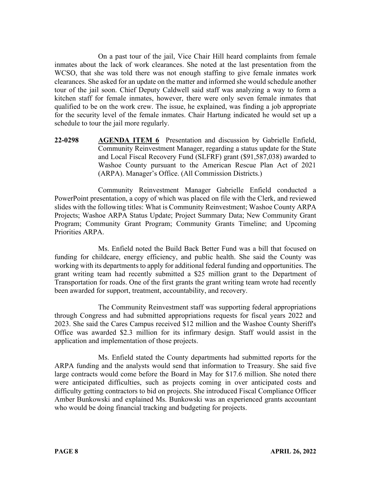On a past tour of the jail, Vice Chair Hill heard complaints from female inmates about the lack of work clearances. She noted at the last presentation from the WCSO, that she was told there was not enough staffing to give female inmates work clearances. She asked for an update on the matter and informed she would schedule another tour of the jail soon. Chief Deputy Caldwell said staff was analyzing a way to form a kitchen staff for female inmates, however, there were only seven female inmates that qualified to be on the work crew. The issue, he explained, was finding a job appropriate for the security level of the female inmates. Chair Hartung indicated he would set up a schedule to tour the jail more regularly.

**22-0298 AGENDA ITEM 6** Presentation and discussion by Gabrielle Enfield, Community Reinvestment Manager, regarding a status update for the State and Local Fiscal Recovery Fund (SLFRF) grant (\$91,587,038) awarded to Washoe County pursuant to the American Rescue Plan Act of 2021 (ARPA). Manager's Office. (All Commission Districts.)

Community Reinvestment Manager Gabrielle Enfield conducted a PowerPoint presentation, a copy of which was placed on file with the Clerk, and reviewed slides with the following titles: What is Community Reinvestment; Washoe County ARPA Projects; Washoe ARPA Status Update; Project Summary Data; New Community Grant Program; Community Grant Program; Community Grants Timeline; and Upcoming Priorities ARPA.

Ms. Enfield noted the Build Back Better Fund was a bill that focused on funding for childcare, energy efficiency, and public health. She said the County was working with its departments to apply for additional federal funding and opportunities. The grant writing team had recently submitted a \$25 million grant to the Department of Transportation for roads. One of the first grants the grant writing team wrote had recently been awarded for support, treatment, accountability, and recovery.

The Community Reinvestment staff was supporting federal appropriations through Congress and had submitted appropriations requests for fiscal years 2022 and 2023. She said the Cares Campus received \$12 million and the Washoe County Sheriff's Office was awarded \$2.3 million for its infirmary design. Staff would assist in the application and implementation of those projects.

Ms. Enfield stated the County departments had submitted reports for the ARPA funding and the analysts would send that information to Treasury. She said five large contracts would come before the Board in May for \$17.6 million. She noted there were anticipated difficulties, such as projects coming in over anticipated costs and difficulty getting contractors to bid on projects. She introduced Fiscal Compliance Officer Amber Bunkowski and explained Ms. Bunkowski was an experienced grants accountant who would be doing financial tracking and budgeting for projects.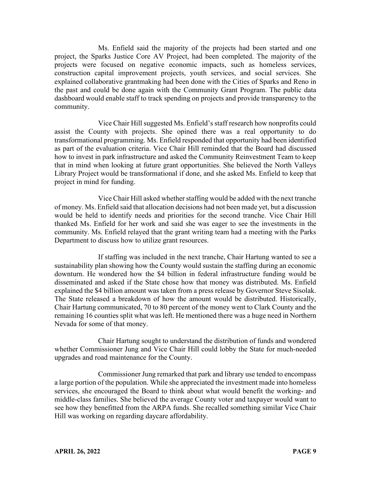Ms. Enfield said the majority of the projects had been started and one project, the Sparks Justice Core AV Project, had been completed. The majority of the projects were focused on negative economic impacts, such as homeless services, construction capital improvement projects, youth services, and social services. She explained collaborative grantmaking had been done with the Cities of Sparks and Reno in the past and could be done again with the Community Grant Program. The public data dashboard would enable staff to track spending on projects and provide transparency to the community.

Vice Chair Hill suggested Ms. Enfield's staff research how nonprofits could assist the County with projects. She opined there was a real opportunity to do transformational programming. Ms. Enfield responded that opportunity had been identified as part of the evaluation criteria. Vice Chair Hill reminded that the Board had discussed how to invest in park infrastructure and asked the Community Reinvestment Team to keep that in mind when looking at future grant opportunities. She believed the North Valleys Library Project would be transformational if done, and she asked Ms. Enfield to keep that project in mind for funding.

Vice Chair Hill asked whether staffing would be added with the next tranche of money. Ms. Enfield said that allocation decisions had not been made yet, but a discussion would be held to identify needs and priorities for the second tranche. Vice Chair Hill thanked Ms. Enfield for her work and said she was eager to see the investments in the community. Ms. Enfield relayed that the grant writing team had a meeting with the Parks Department to discuss how to utilize grant resources.

If staffing was included in the next tranche, Chair Hartung wanted to see a sustainability plan showing how the County would sustain the staffing during an economic downturn. He wondered how the \$4 billion in federal infrastructure funding would be disseminated and asked if the State chose how that money was distributed. Ms. Enfield explained the \$4 billion amount was taken from a press release by Governor Steve Sisolak. The State released a breakdown of how the amount would be distributed. Historically, Chair Hartung communicated, 70 to 80 percent of the money went to Clark County and the remaining 16 counties split what was left. He mentioned there was a huge need in Northern Nevada for some of that money.

Chair Hartung sought to understand the distribution of funds and wondered whether Commissioner Jung and Vice Chair Hill could lobby the State for much-needed upgrades and road maintenance for the County.

Commissioner Jung remarked that park and library use tended to encompass a large portion of the population. While she appreciated the investment made into homeless services, she encouraged the Board to think about what would benefit the working- and middle-class families. She believed the average County voter and taxpayer would want to see how they benefitted from the ARPA funds. She recalled something similar Vice Chair Hill was working on regarding daycare affordability.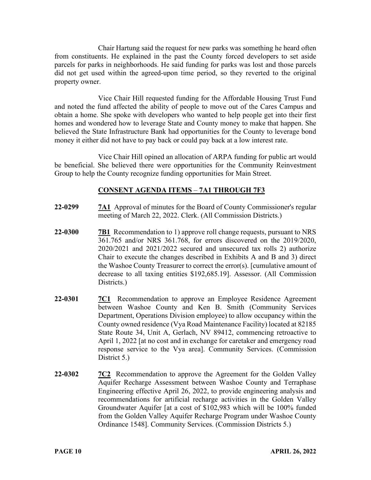Chair Hartung said the request for new parks was something he heard often from constituents. He explained in the past the County forced developers to set aside parcels for parks in neighborhoods. He said funding for parks was lost and those parcels did not get used within the agreed-upon time period, so they reverted to the original property owner.

Vice Chair Hill requested funding for the Affordable Housing Trust Fund and noted the fund affected the ability of people to move out of the Cares Campus and obtain a home. She spoke with developers who wanted to help people get into their first homes and wondered how to leverage State and County money to make that happen. She believed the State Infrastructure Bank had opportunities for the County to leverage bond money it either did not have to pay back or could pay back at a low interest rate.

Vice Chair Hill opined an allocation of ARPA funding for public art would be beneficial. She believed there were opportunities for the Community Reinvestment Group to help the County recognize funding opportunities for Main Street.

# **CONSENT AGENDA ITEMS** – **7A1 THROUGH 7F3**

- **22-0299 7A1** Approval of minutes for the Board of County Commissioner's regular meeting of March 22, 2022. Clerk. (All Commission Districts.)
- **22-0300 7B1** Recommendation to 1) approve roll change requests, pursuant to NRS 361.765 and/or NRS 361.768, for errors discovered on the 2019/2020, 2020/2021 and 2021/2022 secured and unsecured tax rolls 2) authorize Chair to execute the changes described in Exhibits A and B and 3) direct the Washoe County Treasurer to correct the error(s). [cumulative amount of decrease to all taxing entities \$192,685.19]. Assessor. (All Commission Districts.)
- **22-0301 7C1** Recommendation to approve an Employee Residence Agreement between Washoe County and Ken B. Smith (Community Services Department, Operations Division employee) to allow occupancy within the County owned residence (Vya Road Maintenance Facility) located at 82185 State Route 34, Unit A, Gerlach, NV 89412, commencing retroactive to April 1, 2022 [at no cost and in exchange for caretaker and emergency road response service to the Vya area]. Community Services. (Commission District 5.)
- **22-0302 7C2** Recommendation to approve the Agreement for the Golden Valley Aquifer Recharge Assessment between Washoe County and Terraphase Engineering effective April 26, 2022, to provide engineering analysis and recommendations for artificial recharge activities in the Golden Valley Groundwater Aquifer [at a cost of \$102,983 which will be 100% funded from the Golden Valley Aquifer Recharge Program under Washoe County Ordinance 1548]. Community Services. (Commission Districts 5.)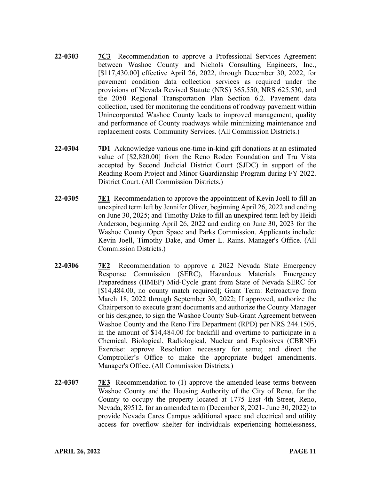- **22-0303 7C3** Recommendation to approve a Professional Services Agreement between Washoe County and Nichols Consulting Engineers, Inc., [\$117,430.00] effective April 26, 2022, through December 30, 2022, for pavement condition data collection services as required under the provisions of Nevada Revised Statute (NRS) 365.550, NRS 625.530, and the 2050 Regional Transportation Plan Section 6.2. Pavement data collection, used for monitoring the conditions of roadway pavement within Unincorporated Washoe County leads to improved management, quality and performance of County roadways while minimizing maintenance and replacement costs. Community Services. (All Commission Districts.)
- **22-0304 7D1** Acknowledge various one-time in-kind gift donations at an estimated value of [\$2,820.00] from the Reno Rodeo Foundation and Tru Vista accepted by Second Judicial District Court (SJDC) in support of the Reading Room Project and Minor Guardianship Program during FY 2022. District Court. (All Commission Districts.)
- 22-0305 7E1 Recommendation to approve the appointment of Kevin Joell to fill an unexpired term left by Jennifer Oliver, beginning April 26, 2022 and ending on June 30, 2025; and Timothy Dake to fill an unexpired term left by Heidi Anderson, beginning April 26, 2022 and ending on June 30, 2023 for the Washoe County Open Space and Parks Commission. Applicants include: Kevin Joell, Timothy Dake, and Omer L. Rains. Manager's Office. (All Commission Districts.)
- **22-0306 7E2** Recommendation to approve a 2022 Nevada State Emergency Response Commission (SERC), Hazardous Materials Emergency Preparedness (HMEP) Mid-Cycle grant from State of Nevada SERC for [\$14,484.00, no county match required]; Grant Term: Retroactive from March 18, 2022 through September 30, 2022; If approved, authorize the Chairperson to execute grant documents and authorize the County Manager or his designee, to sign the Washoe County Sub-Grant Agreement between Washoe County and the Reno Fire Department (RPD) per NRS 244.1505, in the amount of \$14,484.00 for backfill and overtime to participate in a Chemical, Biological, Radiological, Nuclear and Explosives (CBRNE) Exercise: approve Resolution necessary for same; and direct the Comptroller's Office to make the appropriate budget amendments. Manager's Office. (All Commission Districts.)
- **22-0307 7E3** Recommendation to (1) approve the amended lease terms between Washoe County and the Housing Authority of the City of Reno, for the County to occupy the property located at 1775 East 4th Street, Reno, Nevada, 89512, for an amended term (December 8, 2021- June 30, 2022) to provide Nevada Cares Campus additional space and electrical and utility access for overflow shelter for individuals experiencing homelessness,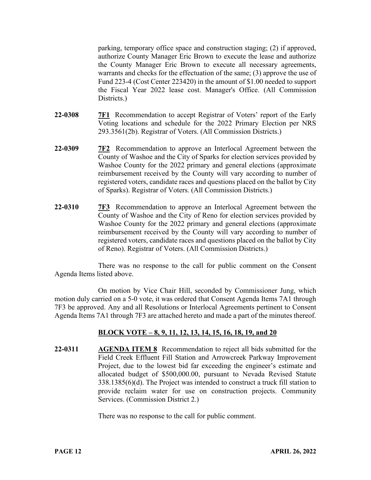parking, temporary office space and construction staging; (2) if approved, authorize County Manager Eric Brown to execute the lease and authorize the County Manager Eric Brown to execute all necessary agreements, warrants and checks for the effectuation of the same; (3) approve the use of Fund 223-4 (Cost Center 223420) in the amount of \$1.00 needed to support the Fiscal Year 2022 lease cost. Manager's Office. (All Commission Districts.)

- **22-0308 7F1** Recommendation to accept Registrar of Voters' report of the Early Voting locations and schedule for the 2022 Primary Election per NRS 293.3561(2b). Registrar of Voters. (All Commission Districts.)
- **22-0309 7F2** Recommendation to approve an Interlocal Agreement between the County of Washoe and the City of Sparks for election services provided by Washoe County for the 2022 primary and general elections (approximate reimbursement received by the County will vary according to number of registered voters, candidate races and questions placed on the ballot by City of Sparks). Registrar of Voters. (All Commission Districts.)
- **22-0310 7F3** Recommendation to approve an Interlocal Agreement between the County of Washoe and the City of Reno for election services provided by Washoe County for the 2022 primary and general elections (approximate reimbursement received by the County will vary according to number of registered voters, candidate races and questions placed on the ballot by City of Reno). Registrar of Voters. (All Commission Districts.)

There was no response to the call for public comment on the Consent Agenda Items listed above.

On motion by Vice Chair Hill, seconded by Commissioner Jung, which motion duly carried on a 5-0 vote, it was ordered that Consent Agenda Items 7A1 through 7F3 be approved. Any and all Resolutions or Interlocal Agreements pertinent to Consent Agenda Items 7A1 through 7F3 are attached hereto and made a part of the minutes thereof.

# **BLOCK VOTE – 8, 9, 11, 12, 13, 14, 15, 16, 18, 19, and 20**

**22-0311 AGENDA ITEM 8** Recommendation to reject all bids submitted for the Field Creek Effluent Fill Station and Arrowcreek Parkway Improvement Project, due to the lowest bid far exceeding the engineer's estimate and allocated budget of \$500,000.00, pursuant to Nevada Revised Statute 338.1385(6)(d). The Project was intended to construct a truck fill station to provide reclaim water for use on construction projects. Community Services. (Commission District 2.)

There was no response to the call for public comment.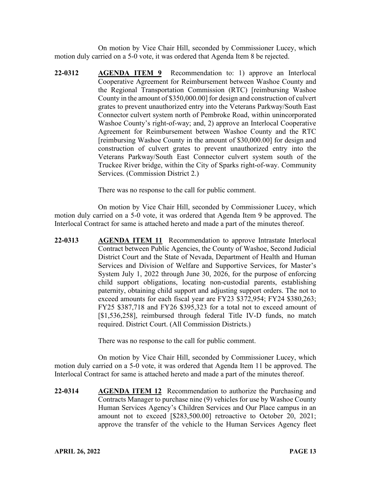On motion by Vice Chair Hill, seconded by Commissioner Lucey, which motion duly carried on a 5-0 vote, it was ordered that Agenda Item 8 be rejected.

**22-0312 AGENDA ITEM 9** Recommendation to: 1) approve an Interlocal Cooperative Agreement for Reimbursement between Washoe County and the Regional Transportation Commission (RTC) [reimbursing Washoe County in the amount of \$350,000.00] for design and construction of culvert grates to prevent unauthorized entry into the Veterans Parkway/South East Connector culvert system north of Pembroke Road, within unincorporated Washoe County's right-of-way; and, 2) approve an Interlocal Cooperative Agreement for Reimbursement between Washoe County and the RTC [reimbursing Washoe County in the amount of \$30,000.00] for design and construction of culvert grates to prevent unauthorized entry into the Veterans Parkway/South East Connector culvert system south of the Truckee River bridge, within the City of Sparks right-of-way. Community Services. (Commission District 2.)

There was no response to the call for public comment.

On motion by Vice Chair Hill, seconded by Commissioner Lucey, which motion duly carried on a 5-0 vote, it was ordered that Agenda Item 9 be approved. The Interlocal Contract for same is attached hereto and made a part of the minutes thereof.

**22-0313 AGENDA ITEM 11** Recommendation to approve Intrastate Interlocal Contract between Public Agencies, the County of Washoe, Second Judicial District Court and the State of Nevada, Department of Health and Human Services and Division of Welfare and Supportive Services, for Master's System July 1, 2022 through June 30, 2026, for the purpose of enforcing child support obligations, locating non-custodial parents, establishing paternity, obtaining child support and adjusting support orders. The not to exceed amounts for each fiscal year are FY23 \$372,954; FY24 \$380,263; FY25 \$387,718 and FY26 \$395,323 for a total not to exceed amount of [\$1,536,258], reimbursed through federal Title IV-D funds, no match required. District Court. (All Commission Districts.)

There was no response to the call for public comment.

On motion by Vice Chair Hill, seconded by Commissioner Lucey, which motion duly carried on a 5-0 vote, it was ordered that Agenda Item 11 be approved. The Interlocal Contract for same is attached hereto and made a part of the minutes thereof.

**22-0314 AGENDA ITEM 12** Recommendation to authorize the Purchasing and Contracts Manager to purchase nine (9) vehicles for use by Washoe County Human Services Agency's Children Services and Our Place campus in an amount not to exceed [\$283,500.00] retroactive to October 20, 2021; approve the transfer of the vehicle to the Human Services Agency fleet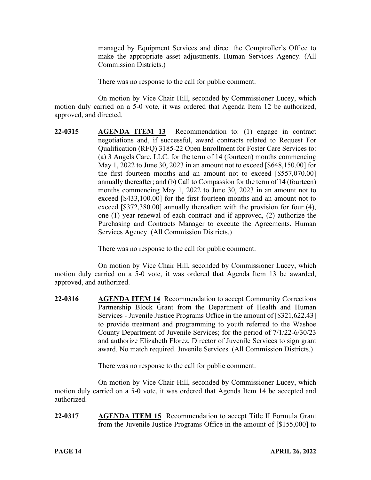managed by Equipment Services and direct the Comptroller's Office to make the appropriate asset adjustments. Human Services Agency. (All Commission Districts.)

There was no response to the call for public comment.

On motion by Vice Chair Hill, seconded by Commissioner Lucey, which motion duly carried on a 5-0 vote, it was ordered that Agenda Item 12 be authorized, approved, and directed.

**22-0315 AGENDA ITEM 13** Recommendation to: (1) engage in contract negotiations and, if successful, award contracts related to Request For Qualification (RFQ) 3185-22 Open Enrollment for Foster Care Services to: (a) 3 Angels Care, LLC. for the term of 14 (fourteen) months commencing May 1, 2022 to June 30, 2023 in an amount not to exceed [\$648,150.00] for the first fourteen months and an amount not to exceed [\$557,070.00] annually thereafter; and (b) Call to Compassion for the term of 14 (fourteen) months commencing May 1, 2022 to June 30, 2023 in an amount not to exceed [\$433,100.00] for the first fourteen months and an amount not to exceed [\$372,380.00] annually thereafter; with the provision for four (4), one (1) year renewal of each contract and if approved, (2) authorize the Purchasing and Contracts Manager to execute the Agreements. Human Services Agency. (All Commission Districts.)

There was no response to the call for public comment.

On motion by Vice Chair Hill, seconded by Commissioner Lucey, which motion duly carried on a 5-0 vote, it was ordered that Agenda Item 13 be awarded, approved, and authorized.

**22-0316 AGENDA ITEM 14** Recommendation to accept Community Corrections Partnership Block Grant from the Department of Health and Human Services - Juvenile Justice Programs Office in the amount of [\$321,622.43] to provide treatment and programming to youth referred to the Washoe County Department of Juvenile Services; for the period of 7/1/22-6/30/23 and authorize Elizabeth Florez, Director of Juvenile Services to sign grant award. No match required. Juvenile Services. (All Commission Districts.)

There was no response to the call for public comment.

On motion by Vice Chair Hill, seconded by Commissioner Lucey, which motion duly carried on a 5-0 vote, it was ordered that Agenda Item 14 be accepted and authorized.

**22-0317 AGENDA ITEM 15** Recommendation to accept Title II Formula Grant from the Juvenile Justice Programs Office in the amount of [\$155,000] to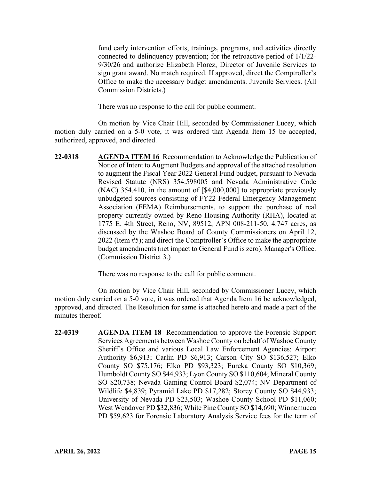fund early intervention efforts, trainings, programs, and activities directly connected to delinquency prevention; for the retroactive period of 1/1/22- 9/30/26 and authorize Elizabeth Florez, Director of Juvenile Services to sign grant award. No match required. If approved, direct the Comptroller's Office to make the necessary budget amendments. Juvenile Services. (All Commission Districts.)

There was no response to the call for public comment.

On motion by Vice Chair Hill, seconded by Commissioner Lucey, which motion duly carried on a 5-0 vote, it was ordered that Agenda Item 15 be accepted, authorized, approved, and directed.

**22-0318 AGENDA ITEM 16** Recommendation to Acknowledge the Publication of Notice of Intent to Augment Budgets and approval of the attached resolution to augment the Fiscal Year 2022 General Fund budget, pursuant to Nevada Revised Statute (NRS) 354.598005 and Nevada Administrative Code (NAC) 354.410, in the amount of [\$4,000,000] to appropriate previously unbudgeted sources consisting of FY22 Federal Emergency Management Association (FEMA) Reimbursements, to support the purchase of real property currently owned by Reno Housing Authority (RHA), located at 1775 E. 4th Street, Reno, NV, 89512, APN 008-211-50, 4.747 acres, as discussed by the Washoe Board of County Commissioners on April 12, 2022 (Item #5); and direct the Comptroller's Office to make the appropriate budget amendments (net impact to General Fund is zero). Manager's Office. (Commission District 3.)

There was no response to the call for public comment.

On motion by Vice Chair Hill, seconded by Commissioner Lucey, which motion duly carried on a 5-0 vote, it was ordered that Agenda Item 16 be acknowledged, approved, and directed. The Resolution for same is attached hereto and made a part of the minutes thereof.

**22-0319 AGENDA ITEM 18** Recommendation to approve the Forensic Support Services Agreements between Washoe County on behalf of Washoe County Sheriff's Office and various Local Law Enforcement Agencies: Airport Authority \$6,913; Carlin PD \$6,913; Carson City SO \$136,527; Elko County SO \$75,176; Elko PD \$93,323; Eureka County SO \$10,369; Humboldt County SO \$44,933; Lyon County SO \$110,604; Mineral County SO \$20,738; Nevada Gaming Control Board \$2,074; NV Department of Wildlife \$4,839; Pyramid Lake PD \$17,282; Storey County SO \$44,933; University of Nevada PD \$23,503; Washoe County School PD \$11,060; West Wendover PD \$32,836; White Pine County SO \$14,690; Winnemucca PD \$59,623 for Forensic Laboratory Analysis Service fees for the term of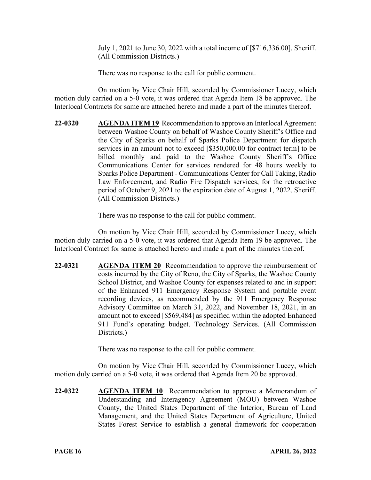July 1, 2021 to June 30, 2022 with a total income of [\$716,336.00]. Sheriff. (All Commission Districts.)

There was no response to the call for public comment.

On motion by Vice Chair Hill, seconded by Commissioner Lucey, which motion duly carried on a 5-0 vote, it was ordered that Agenda Item 18 be approved. The Interlocal Contracts for same are attached hereto and made a part of the minutes thereof.

**22-0320 AGENDA ITEM 19** Recommendation to approve an Interlocal Agreement between Washoe County on behalf of Washoe County Sheriff's Office and the City of Sparks on behalf of Sparks Police Department for dispatch services in an amount not to exceed [\$350,000.00 for contract term] to be billed monthly and paid to the Washoe County Sheriff's Office Communications Center for services rendered for 48 hours weekly to Sparks Police Department - Communications Center for Call Taking, Radio Law Enforcement, and Radio Fire Dispatch services, for the retroactive period of October 9, 2021 to the expiration date of August 1, 2022. Sheriff. (All Commission Districts.)

There was no response to the call for public comment.

On motion by Vice Chair Hill, seconded by Commissioner Lucey, which motion duly carried on a 5-0 vote, it was ordered that Agenda Item 19 be approved. The Interlocal Contract for same is attached hereto and made a part of the minutes thereof.

**22-0321 AGENDA ITEM 20** Recommendation to approve the reimbursement of costs incurred by the City of Reno, the City of Sparks, the Washoe County School District, and Washoe County for expenses related to and in support of the Enhanced 911 Emergency Response System and portable event recording devices, as recommended by the 911 Emergency Response Advisory Committee on March 31, 2022, and November 18, 2021, in an amount not to exceed [\$569,484] as specified within the adopted Enhanced 911 Fund's operating budget. Technology Services. (All Commission Districts.)

There was no response to the call for public comment.

On motion by Vice Chair Hill, seconded by Commissioner Lucey, which motion duly carried on a 5-0 vote, it was ordered that Agenda Item 20 be approved.

**22-0322 AGENDA ITEM 10** Recommendation to approve a Memorandum of Understanding and Interagency Agreement (MOU) between Washoe County, the United States Department of the Interior, Bureau of Land Management, and the United States Department of Agriculture, United States Forest Service to establish a general framework for cooperation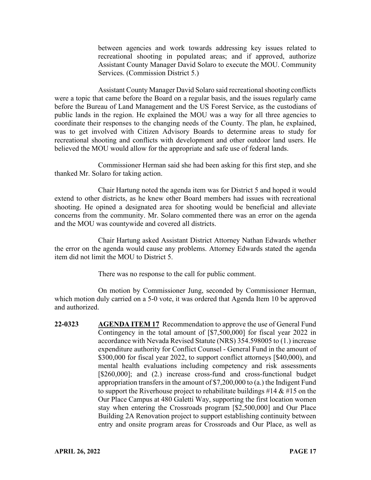between agencies and work towards addressing key issues related to recreational shooting in populated areas; and if approved, authorize Assistant County Manager David Solaro to execute the MOU. Community Services. (Commission District 5.)

Assistant County Manager David Solaro said recreational shooting conflicts were a topic that came before the Board on a regular basis, and the issues regularly came before the Bureau of Land Management and the US Forest Service, as the custodians of public lands in the region. He explained the MOU was a way for all three agencies to coordinate their responses to the changing needs of the County. The plan, he explained, was to get involved with Citizen Advisory Boards to determine areas to study for recreational shooting and conflicts with development and other outdoor land users. He believed the MOU would allow for the appropriate and safe use of federal lands.

Commissioner Herman said she had been asking for this first step, and she thanked Mr. Solaro for taking action.

Chair Hartung noted the agenda item was for District 5 and hoped it would extend to other districts, as he knew other Board members had issues with recreational shooting. He opined a designated area for shooting would be beneficial and alleviate concerns from the community. Mr. Solaro commented there was an error on the agenda and the MOU was countywide and covered all districts.

Chair Hartung asked Assistant District Attorney Nathan Edwards whether the error on the agenda would cause any problems. Attorney Edwards stated the agenda item did not limit the MOU to District 5.

There was no response to the call for public comment.

On motion by Commissioner Jung, seconded by Commissioner Herman, which motion duly carried on a 5-0 vote, it was ordered that Agenda Item 10 be approved and authorized.

**22-0323 AGENDA ITEM 17** Recommendation to approve the use of General Fund Contingency in the total amount of [\$7,500,000] for fiscal year 2022 in accordance with Nevada Revised Statute (NRS) 354.598005 to (1.) increase expenditure authority for Conflict Counsel - General Fund in the amount of \$300,000 for fiscal year 2022, to support conflict attorneys [\$40,000), and mental health evaluations including competency and risk assessments [\$260,000]; and (2.) increase cross-fund and cross-functional budget appropriation transfers in the amount of \$7,200,000 to (a.) the Indigent Fund to support the Riverhouse project to rehabilitate buildings  $\#14 \& \#15$  on the Our Place Campus at 480 Galetti Way, supporting the first location women stay when entering the Crossroads program [\$2,500,000] and Our Place Building 2A Renovation project to support establishing continuity between entry and onsite program areas for Crossroads and Our Place, as well as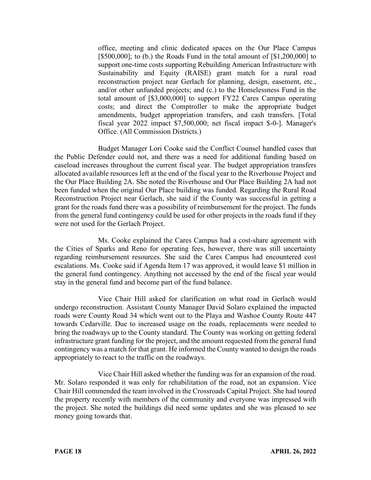office, meeting and clinic dedicated spaces on the Our Place Campus [ $$500,000$ ]; to (b.) the Roads Fund in the total amount of  $[$1,200,000]$  to support one-time costs supporting Rebuilding American Infrastructure with Sustainability and Equity (RAISE) grant match for a rural road reconstruction project near Gerlach for planning, design, easement, etc., and/or other unfunded projects; and (c.) to the Homelessness Fund in the total amount of [\$3,000,000] to support FY22 Cares Campus operating costs; and direct the Comptroller to make the appropriate budget amendments, budget appropriation transfers, and cash transfers. [Total fiscal year 2022 impact \$7,500,000; net fiscal impact \$-0-]. Manager's Office. (All Commission Districts.)

Budget Manager Lori Cooke said the Conflict Counsel handled cases that the Public Defender could not, and there was a need for additional funding based on caseload increases throughout the current fiscal year. The budget appropriation transfers allocated available resources left at the end of the fiscal year to the Riverhouse Project and the Our Place Building 2A. She noted the Riverhouse and Our Place Building 2A had not been funded when the original Our Place building was funded. Regarding the Rural Road Reconstruction Project near Gerlach, she said if the County was successful in getting a grant for the roads fund there was a possibility of reimbursement for the project. The funds from the general fund contingency could be used for other projects in the roads fund if they were not used for the Gerlach Project.

Ms. Cooke explained the Cares Campus had a cost-share agreement with the Cities of Sparks and Reno for operating fees, however, there was still uncertainty regarding reimbursement resources. She said the Cares Campus had encountered cost escalations. Ms. Cooke said if Agenda Item 17 was approved, it would leave \$1 million in the general fund contingency. Anything not accessed by the end of the fiscal year would stay in the general fund and become part of the fund balance.

Vice Chair Hill asked for clarification on what road in Gerlach would undergo reconstruction. Assistant County Manager David Solaro explained the impacted roads were County Road 34 which went out to the Playa and Washoe County Route 447 towards Cedarville. Due to increased usage on the roads, replacements were needed to bring the roadways up to the County standard. The County was working on getting federal infrastructure grant funding for the project, and the amount requested from the general fund contingency was a match for that grant. He informed the County wanted to design the roads appropriately to react to the traffic on the roadways.

Vice Chair Hill asked whether the funding was for an expansion of the road. Mr. Solaro responded it was only for rehabilitation of the road, not an expansion. Vice Chair Hill commended the team involved in the Crossroads Capital Project. She had toured the property recently with members of the community and everyone was impressed with the project. She noted the buildings did need some updates and she was pleased to see money going towards that.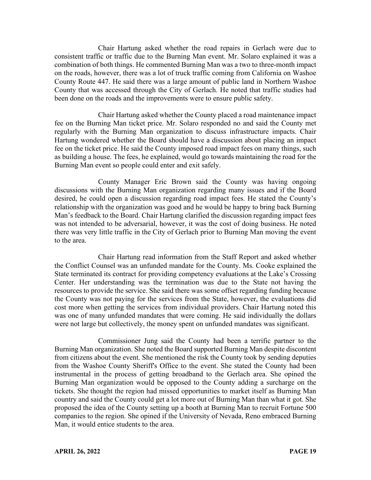Chair Hartung asked whether the road repairs in Gerlach were due to consistent traffic or traffic due to the Burning Man event. Mr. Solaro explained it was a combination of both things. He commented Burning Man was a two to three-month impact on the roads, however, there was a lot of truck traffic coming from California on Washoe County Route 447. He said there was a large amount of public land in Northern Washoe County that was accessed through the City of Gerlach. He noted that traffic studies had been done on the roads and the improvements were to ensure public safety.

Chair Hartung asked whether the County placed a road maintenance impact fee on the Burning Man ticket price. Mr. Solaro responded no and said the County met regularly with the Burning Man organization to discuss infrastructure impacts. Chair Hartung wondered whether the Board should have a discussion about placing an impact fee on the ticket price. He said the County imposed road impact fees on many things, such as building a house. The fees, he explained, would go towards maintaining the road for the Burning Man event so people could enter and exit safely.

County Manager Eric Brown said the County was having ongoing discussions with the Burning Man organization regarding many issues and if the Board desired, he could open a discussion regarding road impact fees. He stated the County's relationship with the organization was good and he would be happy to bring back Burning Man's feedback to the Board. Chair Hartung clarified the discussion regarding impact fees was not intended to be adversarial, however, it was the cost of doing business. He noted there was very little traffic in the City of Gerlach prior to Burning Man moving the event to the area.

Chair Hartung read information from the Staff Report and asked whether the Conflict Counsel was an unfunded mandate for the County. Ms. Cooke explained the State terminated its contract for providing competency evaluations at the Lake's Crossing Center. Her understanding was the termination was due to the State not having the resources to provide the service. She said there was some offset regarding funding because the County was not paying for the services from the State, however, the evaluations did cost more when getting the services from individual providers. Chair Hartung noted this was one of many unfunded mandates that were coming. He said individually the dollars were not large but collectively, the money spent on unfunded mandates was significant.

Commissioner Jung said the County had been a terrific partner to the Burning Man organization. She noted the Board supported Burning Man despite discontent from citizens about the event. She mentioned the risk the County took by sending deputies from the Washoe County Sheriff's Office to the event. She stated the County had been instrumental in the process of getting broadband to the Gerlach area. She opined the Burning Man organization would be opposed to the County adding a surcharge on the tickets. She thought the region had missed opportunities to market itself as Burning Man country and said the County could get a lot more out of Burning Man than what it got. She proposed the idea of the County setting up a booth at Burning Man to recruit Fortune 500 companies to the region. She opined if the University of Nevada, Reno embraced Burning Man, it would entice students to the area.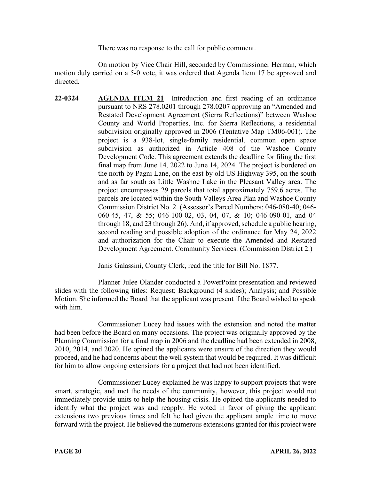There was no response to the call for public comment.

On motion by Vice Chair Hill, seconded by Commissioner Herman, which motion duly carried on a 5-0 vote, it was ordered that Agenda Item 17 be approved and directed.

**22-0324 AGENDA ITEM 21** Introduction and first reading of an ordinance pursuant to NRS 278.0201 through 278.0207 approving an "Amended and Restated Development Agreement (Sierra Reflections)" between Washoe County and World Properties, Inc. for Sierra Reflections, a residential subdivision originally approved in 2006 (Tentative Map TM06-001). The project is a 938-lot, single-family residential, common open space subdivision as authorized in Article 408 of the Washoe County Development Code. This agreement extends the deadline for filing the first final map from June 14, 2022 to June 14, 2024. The project is bordered on the north by Pagni Lane, on the east by old US Highway 395, on the south and as far south as Little Washoe Lake in the Pleasant Valley area. The project encompasses 29 parcels that total approximately 759.6 acres. The parcels are located within the South Valleys Area Plan and Washoe County Commission District No. 2. (Assessor's Parcel Numbers: 046-080-40; 046- 060-45, 47, & 55; 046-100-02, 03, 04, 07, & 10; 046-090-01, and 04 through 18, and 23 through 26). And, if approved, schedule a public hearing, second reading and possible adoption of the ordinance for May 24, 2022 and authorization for the Chair to execute the Amended and Restated Development Agreement. Community Services. (Commission District 2.)

Janis Galassini, County Clerk, read the title for Bill No. 1877.

Planner Julee Olander conducted a PowerPoint presentation and reviewed slides with the following titles: Request; Background (4 slides); Analysis; and Possible Motion. She informed the Board that the applicant was present if the Board wished to speak with him.

Commissioner Lucey had issues with the extension and noted the matter had been before the Board on many occasions. The project was originally approved by the Planning Commission for a final map in 2006 and the deadline had been extended in 2008, 2010, 2014, and 2020. He opined the applicants were unsure of the direction they would proceed, and he had concerns about the well system that would be required. It was difficult for him to allow ongoing extensions for a project that had not been identified.

Commissioner Lucey explained he was happy to support projects that were smart, strategic, and met the needs of the community, however, this project would not immediately provide units to help the housing crisis. He opined the applicants needed to identify what the project was and reapply. He voted in favor of giving the applicant extensions two previous times and felt he had given the applicant ample time to move forward with the project. He believed the numerous extensions granted for this project were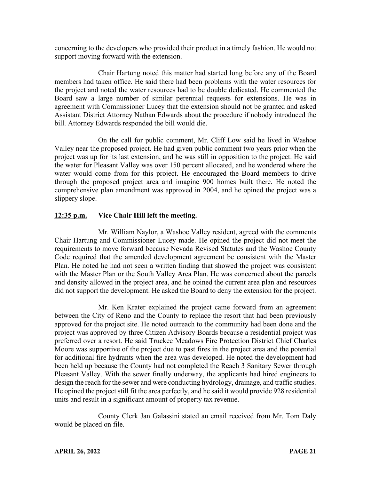concerning to the developers who provided their product in a timely fashion. He would not support moving forward with the extension.

Chair Hartung noted this matter had started long before any of the Board members had taken office. He said there had been problems with the water resources for the project and noted the water resources had to be double dedicated. He commented the Board saw a large number of similar perennial requests for extensions. He was in agreement with Commissioner Lucey that the extension should not be granted and asked Assistant District Attorney Nathan Edwards about the procedure if nobody introduced the bill. Attorney Edwards responded the bill would die.

On the call for public comment, Mr. Cliff Low said he lived in Washoe Valley near the proposed project. He had given public comment two years prior when the project was up for its last extension, and he was still in opposition to the project. He said the water for Pleasant Valley was over 150 percent allocated, and he wondered where the water would come from for this project. He encouraged the Board members to drive through the proposed project area and imagine 900 homes built there. He noted the comprehensive plan amendment was approved in 2004, and he opined the project was a slippery slope.

# **12:35 p.m. Vice Chair Hill left the meeting.**

Mr. William Naylor, a Washoe Valley resident, agreed with the comments Chair Hartung and Commissioner Lucey made. He opined the project did not meet the requirements to move forward because Nevada Revised Statutes and the Washoe County Code required that the amended development agreement be consistent with the Master Plan. He noted he had not seen a written finding that showed the project was consistent with the Master Plan or the South Valley Area Plan. He was concerned about the parcels and density allowed in the project area, and he opined the current area plan and resources did not support the development. He asked the Board to deny the extension for the project.

Mr. Ken Krater explained the project came forward from an agreement between the City of Reno and the County to replace the resort that had been previously approved for the project site. He noted outreach to the community had been done and the project was approved by three Citizen Advisory Boards because a residential project was preferred over a resort. He said Truckee Meadows Fire Protection District Chief Charles Moore was supportive of the project due to past fires in the project area and the potential for additional fire hydrants when the area was developed. He noted the development had been held up because the County had not completed the Reach 3 Sanitary Sewer through Pleasant Valley. With the sewer finally underway, the applicants had hired engineers to design the reach for the sewer and were conducting hydrology, drainage, and traffic studies. He opined the project still fit the area perfectly, and he said it would provide 928 residential units and result in a significant amount of property tax revenue.

County Clerk Jan Galassini stated an email received from Mr. Tom Daly would be placed on file.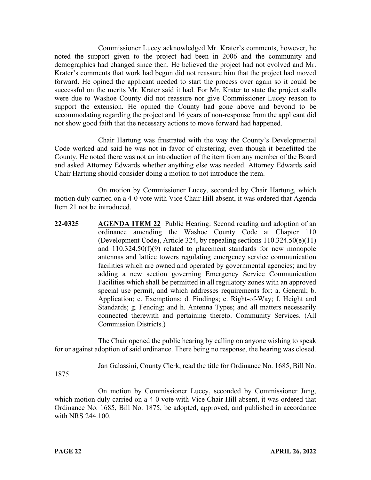Commissioner Lucey acknowledged Mr. Krater's comments, however, he noted the support given to the project had been in 2006 and the community and demographics had changed since then. He believed the project had not evolved and Mr. Krater's comments that work had begun did not reassure him that the project had moved forward. He opined the applicant needed to start the process over again so it could be successful on the merits Mr. Krater said it had. For Mr. Krater to state the project stalls were due to Washoe County did not reassure nor give Commissioner Lucey reason to support the extension. He opined the County had gone above and beyond to be accommodating regarding the project and 16 years of non-response from the applicant did not show good faith that the necessary actions to move forward had happened.

Chair Hartung was frustrated with the way the County's Developmental Code worked and said he was not in favor of clustering, even though it benefitted the County. He noted there was not an introduction of the item from any member of the Board and asked Attorney Edwards whether anything else was needed. Attorney Edwards said Chair Hartung should consider doing a motion to not introduce the item.

On motion by Commissioner Lucey, seconded by Chair Hartung, which motion duly carried on a 4-0 vote with Vice Chair Hill absent, it was ordered that Agenda Item 21 not be introduced.

**22-0325 AGENDA ITEM 22** Public Hearing: Second reading and adoption of an ordinance amending the Washoe County Code at Chapter 110 (Development Code), Article 324, by repealing sections 110.324.50(e)(11) and 110.324.50(f)(9) related to placement standards for new monopole antennas and lattice towers regulating emergency service communication facilities which are owned and operated by governmental agencies; and by adding a new section governing Emergency Service Communication Facilities which shall be permitted in all regulatory zones with an approved special use permit, and which addresses requirements for: a. General; b. Application; c. Exemptions; d. Findings; e. Right-of-Way; f. Height and Standards; g. Fencing; and h. Antenna Types; and all matters necessarily connected therewith and pertaining thereto. Community Services. (All Commission Districts.)

The Chair opened the public hearing by calling on anyone wishing to speak for or against adoption of said ordinance. There being no response, the hearing was closed.

Jan Galassini, County Clerk, read the title for Ordinance No. 1685, Bill No.

1875.

On motion by Commissioner Lucey, seconded by Commissioner Jung, which motion duly carried on a 4-0 vote with Vice Chair Hill absent, it was ordered that Ordinance No. 1685, Bill No. 1875, be adopted, approved, and published in accordance with NRS 244.100.